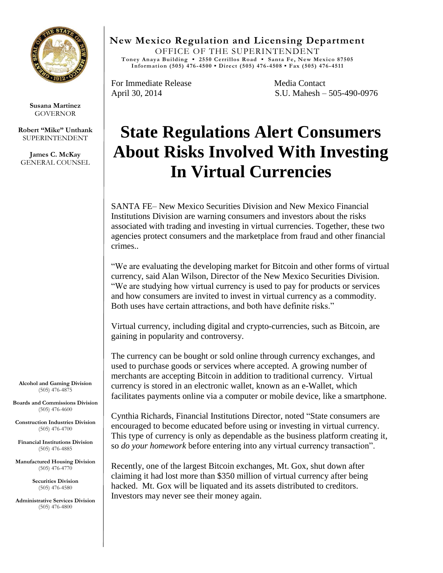

**Susana Martinez** GOVERNOR

**Robert "Mike" Unthank** SUPERINTENDENT

**James C. McKay** GENERAL COUNSEL **New Mexico Regulation and Licensing Department**

OFFICE OF THE SUPERINTENDENT **Toney Anaya Building ▪ 2550 Cerrillos Road ▪ Santa Fe, New Mexico 87505 Information (505) 476 -4500 ▪ Direct (505) 476 -4508 ▪ Fax (505) 476-4511**

For Immediate Release Media Contact

April 30, 2014 S.U. Mahesh – 505-490-0976

## **State Regulations Alert Consumers About Risks Involved With Investing In Virtual Currencies**

SANTA FE– New Mexico Securities Division and New Mexico Financial Institutions Division are warning consumers and investors about the risks associated with trading and investing in virtual currencies. Together, these two agencies protect consumers and the marketplace from fraud and other financial crimes..

"We are evaluating the developing market for Bitcoin and other forms of virtual currency, said Alan Wilson, Director of the New Mexico Securities Division. "We are studying how virtual currency is used to pay for products or services and how consumers are invited to invest in virtual currency as a commodity. Both uses have certain attractions, and both have definite risks."

Virtual currency, including digital and crypto-currencies, such as Bitcoin, are gaining in popularity and controversy.

The currency can be bought or sold online through currency exchanges, and used to purchase goods or services where accepted. A growing number of merchants are accepting Bitcoin in addition to traditional currency. Virtual currency is stored in an electronic wallet, known as an e-Wallet, which facilitates payments online via a computer or mobile device, like a smartphone.

Cynthia Richards, Financial Institutions Director, noted "State consumers are encouraged to become educated before using or investing in virtual currency. This type of currency is only as dependable as the business platform creating it, so *do your homework* before entering into any virtual currency transaction".

Recently, one of the largest Bitcoin exchanges, Mt. Gox, shut down after claiming it had lost more than \$350 million of virtual currency after being hacked. Mt. Gox will be liquated and its assets distributed to creditors. Investors may never see their money again.

**Alcohol and Gaming Division** (505) 476-4875

**Boards and Commissions Division** (505) 476-4600

**Construction Industries Division** (505) 476-4700

**Financial Institutions Division** (505) 476-4885

**Manufactured Housing Division** (505) 476-4770

> **Securities Division** (505) 476-4580

**Administrative Services Division** (505) 476-4800